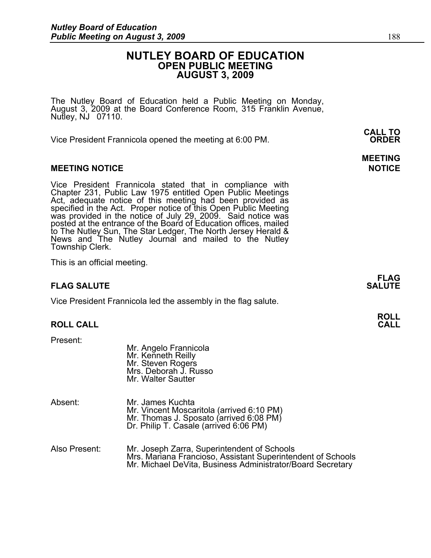### **NUTLEY BOARD OF EDUCATION OPEN PUBLIC MEETING AUGUST 3, 2009**

The Nutley Board of Education held a Public Meeting on Monday, August 3, 2009 at the Board Conference Room, 315 Franklin Avenue, Nutley, NJ 07110.

 **CALL TO**  Vice President Frannicola opened the meeting at 6:00 PM. **ORDER**

### **MEETING NOTICE NOTICE REPORTS AND ALCOHOL**

Vice President Frannicola stated that in compliance with Chapter 231, Public Law 1975 entitled Open Public Meetings Act, adequate notice of this meeting had been provided as specified in the Act. Proper notice of this Open Public Meeting was provided in the notice of July 29, 2009. Said notice was posted at the entrance of the Board of Education offices, mailed to The Nutley Sun, The Star Ledger, The North Jersey Herald & News and The Nutley Journal and mailed to the Nutley Township Clerk.

This is an official meeting.

### **FLAG SALUTE** SALUTE SALUTE SALUTE SALUTE SALUTE SALUTE SALUTE SALUTE SALUTE SALUTE SALUTE SALUTE SALUTE SALUTE SALUTE

Vice President Frannicola led the assembly in the flag salute.

Mr. Angelo Frannicola

### **ROLL CALL**

Present:

|               | Mr. Kenneth Reilly<br>Mr. Steven Rogers<br>Mrs. Deborah J. Russo<br>Mr. Walter Sautter                                                                                   |
|---------------|--------------------------------------------------------------------------------------------------------------------------------------------------------------------------|
| Absent:       | Mr. James Kuchta<br>Mr. Vincent Moscaritola (arrived 6:10 PM)<br>Mr. Thomas J. Sposato (arrived 6:08 PM)<br>Dr. Philip T. Casale (arrived 6:06 PM)                       |
| Also Present: | Mr. Joseph Zarra, Superintendent of Schools<br>Mrs. Mariana Francioso, Assistant Superintendent of Schools<br>Mr. Michael DeVita, Business Administrator/Board Secretary |

# **MEETING**

**FLAG**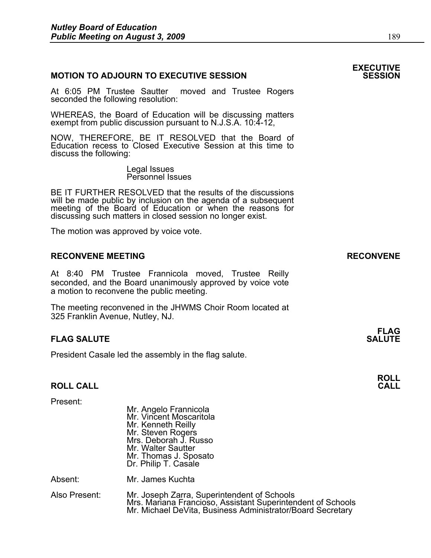### **MOTION TO ADJOURN TO EXECUTIVE SESSION**

At 6:05 PM Trustee Sautter moved and Trustee Rogers seconded the following resolution:

WHEREAS, the Board of Education will be discussing matters exempt from public discussion pursuant to N.J.S.A. 10:4-12,

NOW, THEREFORE, BE IT RESOLVED that the Board of Education recess to Closed Executive Session at this time to discuss the following:

> Legal Issues Personnel Issues

BE IT FURTHER RESOLVED that the results of the discussions will be made public by inclusion on the agenda of a subsequent meeting of the Board of Education or when the reasons for discussing such matters in closed session no longer exist.

 The motion was approved by voice vote.

### RECONVENE MEETING **RECONVENE**

At 8:40 PM Trustee Frannicola moved, Trustee Reilly seconded, and the Board unanimously approved by voice vote a motion to reconvene the public meeting.

The meeting reconvened in the JHWMS Choir Room located at 325 Franklin Avenue, Nutley, NJ.

#### **FLAG FLAG SALUTE SALUTE SALUTE**

President Casale led the assembly in the flag salute.

### **ROLL CALL**

| Present:      | Mr. Angelo Frannicola<br>Mr. Vincent Moscaritola<br>Mr. Kenneth Reilly<br>Mr. Steven Rogers<br>Mrs. Deborah J. Russo<br>Mr. Walter Sautter<br>Mr. Thomas J. Sposato<br>Dr. Philip T. Casale |
|---------------|---------------------------------------------------------------------------------------------------------------------------------------------------------------------------------------------|
| Absent:       | Mr. James Kuchta                                                                                                                                                                            |
| Also Present: | Mr. Joseph Zarra, Superintendent of Schools<br>Mrs. Mariana Francioso, Assistant Superintendent of Schools<br>Mr. Michael DeVita, Business Administrator/Board Secretary                    |

# **EXECUTIVE**

**ROLL**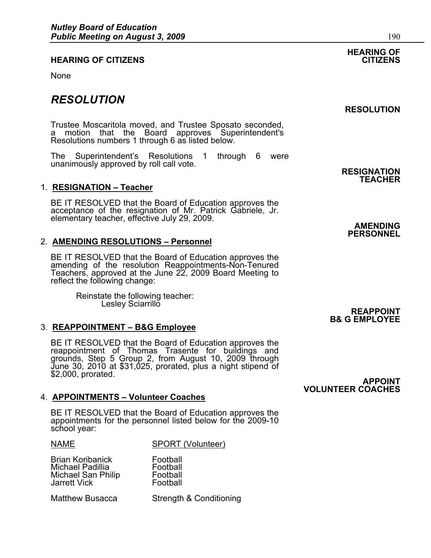### **HEARING OF CITIZENS CITIZENS**

None

## *RESOLUTION*

Trustee Moscaritola moved, and Trustee Sposato seconded, a motion that the Board approves Superintendent's Resolutions numbers 1 through 6 as listed below.

The Superintendent's Resolutions 1 through 6 were unanimously approved by roll call vote.<br> **RESIGNATION** 

### 1. **RESIGNATION – Teacher**

BE IT RESOLVED that the Board of Education approves the acceptance of the resignation of Mr. Patrick Gabriele, Jr. elementary teacher, effective July 29, 2009. **AMENDING AMENDING** 

### 2. **AMENDING RESOLUTIONS – Personnel**

BE IT RESOLVED that the Board of Education approves the amending of the resolution Reappointments-Non-Tenured Teachers, approved at the June 22, 2009 Board Meeting to reflect the following change:

Reinstate the following teacher:<br>Lesley Sciarrillo Lesley Sciarrillo **Contract Contract Contract Contract Contract Contract Contract Contract Contract Contract Contract Contract Contract Contract Contract Contract Contract Contract Contract Contract Contract Contract Contr** 

### 3. **REAPPOINTMENT – B&G Employee**

BE IT RESOLVED that the Board of Education approves the reappointment of Thomas Trasente for buildings and grounds, Step 5 Group 2, from August 10, 2009 through June 30, 2010 at \$31,025, prorated, plus a night stipend of \$2,000, prorated. **APPOINT** 

### 4. **APPOINTMENTS – Volunteer Coaches**

BE IT RESOLVED that the Board of Education approves the appointments for the personnel listed below for the 2009-10 school year:

NAME SPORT (Volunteer)

Brian Koribanick Football Michael Padillia **Football**<br>Michael San Philip Football Michael San Philip Football<br>Jarrett Vick Football Jarrett Vick

Matthew Busacca Strength & Conditioning

# **HEARING OF**

### **RESOLUTION**

# **TEACHER**

**PERSONNEL** 

**B& G EMPLOYEE** 

**VOLUNTEER COACHES**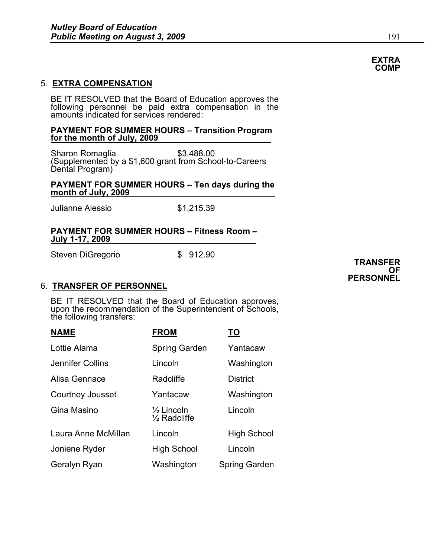### 5. **EXTRA COMPENSATION**

BE IT RESOLVED that the Board of Education approves the following personnel be paid extra compensation in the amounts indicated for services rendered:

### **PAYMENT FOR SUMMER HOURS – Transition Program for the month of July, 2009**

Sharon Romaglia  $$3,488.00$ (Supplemented by a \$1,600 grant from School-to-Careers Dental Program)

### **PAYMENT FOR SUMMER HOURS – Ten days during the month of July, 2009**

Julianne Alessio \$1,215.39

### **PAYMENT FOR SUMMER HOURS – Fitness Room – July 1-17, 2009**

Steven DiGregorio \$ 912.90 **TRANSFER** 

### 6. **TRANSFER OF PERSONNEL**

BE IT RESOLVED that the Board of Education approves, upon the recommendation of the Superintendent of Schools, the following transfers:

| <b>NAME</b>         | <b>FROM</b>                                      | <u>TO</u>       |
|---------------------|--------------------------------------------------|-----------------|
| Lottie Alama        | Spring Garden                                    | Yantacaw        |
| Jennifer Collins    | Lincoln                                          | Washington      |
| Alisa Gennace       | Radcliffe                                        | <b>District</b> |
| Courtney Jousset    | Yantacaw                                         | Washington      |
| Gina Masino         | $\frac{1}{2}$ Lincoln<br>$\frac{1}{2}$ Radcliffe | Lincoln         |
| Laura Anne McMillan | Lincoln                                          | High School     |
| Joniene Ryder       | <b>High School</b>                               | Lincoln         |
| Geralyn Ryan        | Washington                                       | Spring Garden   |

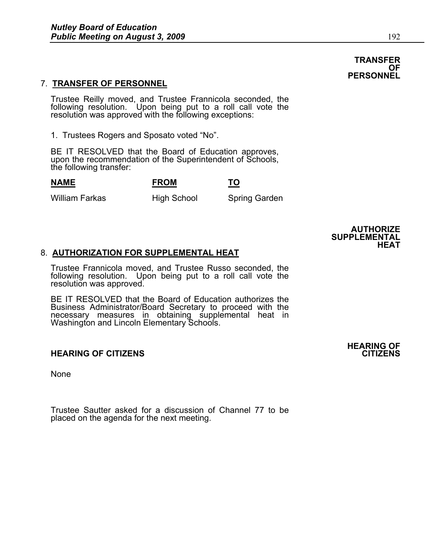## 7. **TRANSFER OF PERSONNEL**

Trustee Reilly moved, and Trustee Frannicola seconded, the following resolution. Upon being put to a roll call vote the resolution was approved with the following exceptions:

1. Trustees Rogers and Sposato voted "No".

BE IT RESOLVED that the Board of Education approves, upon the recommendation of the Superintendent of Schools, the following transfer:

**NAME FROM TO**

William Farkas High School Spring Garden

**SUPPLEMENTAL** 

### 8. **AUTHORIZATION FOR SUPPLEMENTAL HEAT**

Trustee Frannicola moved, and Trustee Russo seconded, the following resolution. Upon being put to a roll call vote the resolution was approved.

BE IT RESOLVED that the Board of Education authorizes the Business Administrator/Board Secretary to proceed with the necessary measures in obtaining supplemental heat in Washington and Lincoln Elementary Schools.

### **HEARING OF CITIZENS CITIZENS**

None

Trustee Sautter asked for a discussion of Channel 77 to be placed on the agenda for the next meeting.

### **TRANSFER OF PERSONNEL**



**AUTHORIZE** 

**HEAT**